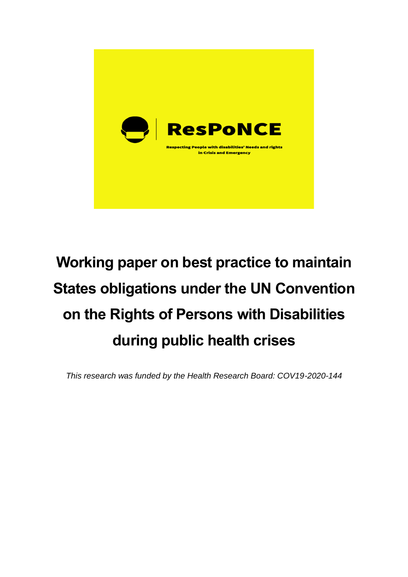

# **Working paper on best practice to maintain States obligations under the UN Convention on the Rights of Persons with Disabilities during public health crises**

*This research was funded by the Health Research Board: COV19-2020-144*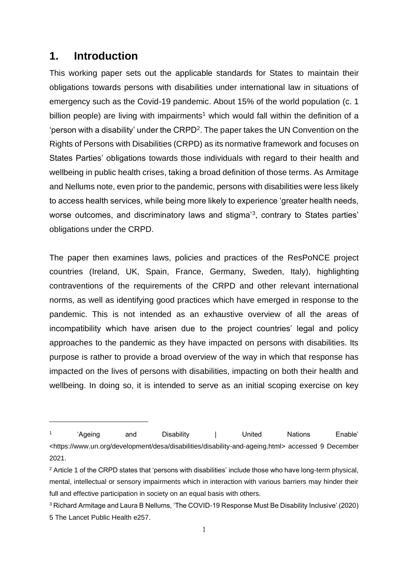## **1. Introduction**

This working paper sets out the applicable standards for States to maintain their obligations towards persons with disabilities under international law in situations of emergency such as the Covid-19 pandemic. About 15% of the world population (c. 1 billion people) are living with impairments<sup>1</sup> which would fall within the definition of a 'person with a disability' under the CRPD<sup>2</sup>. The paper takes the UN Convention on the Rights of Persons with Disabilities (CRPD) as its normative framework and focuses on States Parties' obligations towards those individuals with regard to their health and wellbeing in public health crises, taking a broad definition of those terms. As Armitage and Nellums note, even prior to the pandemic, persons with disabilities were less likely to access health services, while being more likely to experience 'greater health needs, worse outcomes, and discriminatory laws and stigma'<sup>3</sup>, contrary to States parties' obligations under the CRPD.

The paper then examines laws, policies and practices of the ResPoNCE project countries (Ireland, UK, Spain, France, Germany, Sweden, Italy), highlighting contraventions of the requirements of the CRPD and other relevant international norms, as well as identifying good practices which have emerged in response to the pandemic. This is not intended as an exhaustive overview of all the areas of incompatibility which have arisen due to the project countries' legal and policy approaches to the pandemic as they have impacted on persons with disabilities. Its purpose is rather to provide a broad overview of the way in which that response has impacted on the lives of persons with disabilities, impacting on both their health and wellbeing. In doing so, it is intended to serve as an initial scoping exercise on key

<sup>1</sup> 'Ageing and Disability | United Nations Enable' <https://www.un.org/development/desa/disabilities/disability-and-ageing.html> accessed 9 December 2021.

 $2$  Article 1 of the CRPD states that 'persons with disabilities' include those who have long-term physical, mental, intellectual or sensory impairments which in interaction with various barriers may hinder their full and effective participation in society on an equal basis with others.

<sup>3</sup> Richard Armitage and Laura B Nellums, 'The COVID-19 Response Must Be Disability Inclusive' (2020) 5 The Lancet Public Health e257.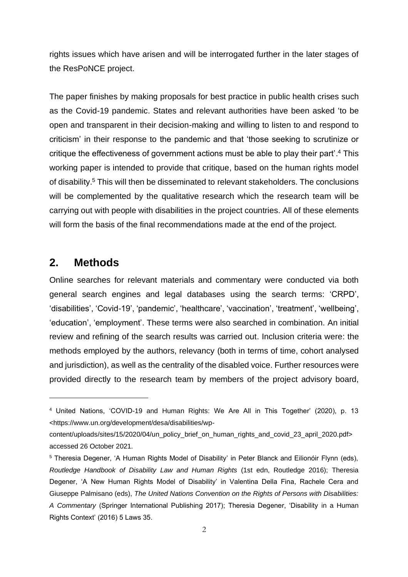rights issues which have arisen and will be interrogated further in the later stages of the ResPoNCE project.

The paper finishes by making proposals for best practice in public health crises such as the Covid-19 pandemic. States and relevant authorities have been asked 'to be open and transparent in their decision-making and willing to listen to and respond to criticism' in their response to the pandemic and that 'those seeking to scrutinize or critique the effectiveness of government actions must be able to play their part'. <sup>4</sup> This working paper is intended to provide that critique, based on the human rights model of disability. <sup>5</sup> This will then be disseminated to relevant stakeholders. The conclusions will be complemented by the qualitative research which the research team will be carrying out with people with disabilities in the project countries. All of these elements will form the basis of the final recommendations made at the end of the project.

# **2. Methods**

Online searches for relevant materials and commentary were conducted via both general search engines and legal databases using the search terms: 'CRPD', 'disabilities', 'Covid-19', 'pandemic', 'healthcare', 'vaccination', 'treatment', 'wellbeing', 'education', 'employment'. These terms were also searched in combination. An initial review and refining of the search results was carried out. Inclusion criteria were: the methods employed by the authors, relevancy (both in terms of time, cohort analysed and jurisdiction), as well as the centrality of the disabled voice. Further resources were provided directly to the research team by members of the project advisory board,

<sup>4</sup> United Nations, 'COVID-19 and Human Rights: We Are All in This Together' (2020), p. 13 <https://www.un.org/development/desa/disabilities/wp-

content/uploads/sites/15/2020/04/un\_policy\_brief\_on\_human\_rights\_and\_covid\_23\_april\_2020.pdf> accessed 26 October 2021.

<sup>5</sup> Theresia Degener, 'A Human Rights Model of Disability' in Peter Blanck and Eilionóir Flynn (eds), *Routledge Handbook of Disability Law and Human Rights* (1st edn, Routledge 2016); Theresia Degener, 'A New Human Rights Model of Disability' in Valentina Della Fina, Rachele Cera and Giuseppe Palmisano (eds), *The United Nations Convention on the Rights of Persons with Disabilities: A Commentary* (Springer International Publishing 2017); Theresia Degener, 'Disability in a Human Rights Context' (2016) 5 Laws 35.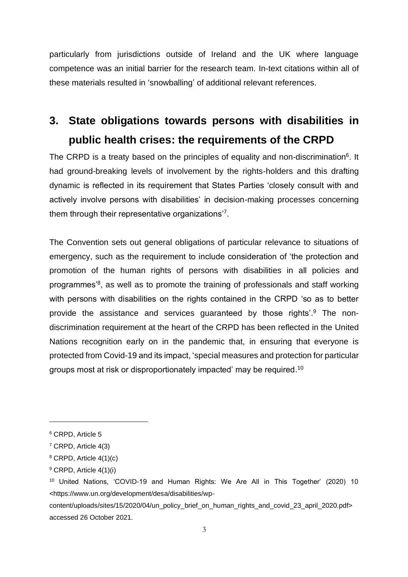particularly from jurisdictions outside of Ireland and the UK where language competence was an initial barrier for the research team. In-text citations within all of these materials resulted in 'snowballing' of additional relevant references.

# **3. State obligations towards persons with disabilities in public health crises: the requirements of the CRPD**

The CRPD is a treaty based on the principles of equality and non-discrimination<sup>6</sup>. It had ground-breaking levels of involvement by the rights-holders and this drafting dynamic is reflected in its requirement that States Parties 'closely consult with and actively involve persons with disabilities' in decision-making processes concerning them through their representative organizations'<sup>7</sup>.

The Convention sets out general obligations of particular relevance to situations of emergency, such as the requirement to include consideration of 'the protection and promotion of the human rights of persons with disabilities in all policies and programmes<sup>'8</sup>, as well as to promote the training of professionals and staff working with persons with disabilities on the rights contained in the CRPD 'so as to better provide the assistance and services guaranteed by those rights'.<sup>9</sup> The nondiscrimination requirement at the heart of the CRPD has been reflected in the United Nations recognition early on in the pandemic that, in ensuring that everyone is protected from Covid-19 and its impact, 'special measures and protection for particular groups most at risk or disproportionately impacted' may be required. $^{\mathsf{10}}$ 

<sup>6</sup> CRPD, Article 5

<sup>7</sup> CRPD, Article 4(3)

 $8$  CRPD, Article 4(1)(c)

<sup>9</sup> CRPD, Article 4(1)(i)

<sup>10</sup> United Nations, 'COVID-19 and Human Rights: We Are All in This Together' (2020) 10 <https://www.un.org/development/desa/disabilities/wp-

content/uploads/sites/15/2020/04/un\_policy\_brief\_on\_human\_rights\_and\_covid\_23\_april\_2020.pdf> accessed 26 October 2021.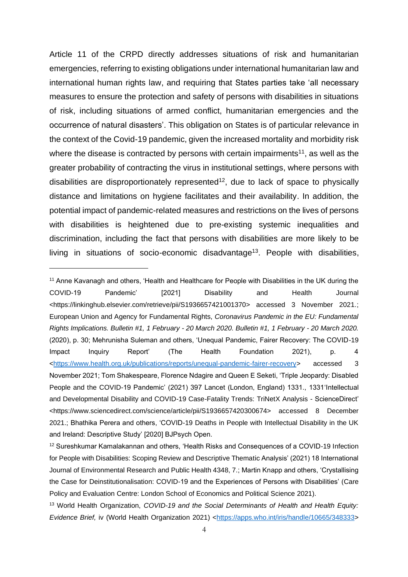Article 11 of the CRPD directly addresses situations of risk and humanitarian emergencies, referring to existing obligations under international humanitarian law and international human rights law, and requiring that States parties take 'all necessary measures to ensure the protection and safety of persons with disabilities in situations of risk, including situations of armed conflict, humanitarian emergencies and the occurrence of natural disasters'. This obligation on States is of particular relevance in the context of the Covid-19 pandemic, given the increased mortality and morbidity risk where the disease is contracted by persons with certain impairments<sup>11</sup>, as well as the greater probability of contracting the virus in institutional settings, where persons with disabilities are disproportionately represented<sup>12</sup>, due to lack of space to physically distance and limitations on hygiene facilitates and their availability. In addition, the potential impact of pandemic-related measures and restrictions on the lives of persons with disabilities is heightened due to pre-existing systemic inequalities and discrimination, including the fact that persons with disabilities are more likely to be living in situations of socio-economic disadvantage<sup>13</sup>. People with disabilities,

<sup>&</sup>lt;sup>11</sup> Anne Kavanagh and others, 'Health and Healthcare for People with Disabilities in the UK during the COVID-19 Pandemic' [2021] Disability and Health Journal <https://linkinghub.elsevier.com/retrieve/pii/S1936657421001370> accessed 3 November 2021.; European Union and Agency for Fundamental Rights, *Coronavirus Pandemic in the EU: Fundamental Rights Implications. Bulletin #1, 1 February - 20 March 2020. Bulletin #1, 1 February - 20 March 2020.* (2020), p. 30; Mehrunisha Suleman and others, 'Unequal Pandemic, Fairer Recovery: The COVID-19 Impact Inquiry Report' (The Health Foundation 2021), p. 4 [<https://www.health.org.uk/publications/reports/unequal-pandemic-fairer-recovery>](https://www.health.org.uk/publications/reports/unequal-pandemic-fairer-recovery) accessed 3 November 2021; Tom Shakespeare, Florence Ndagire and Queen E Seketi, 'Triple Jeopardy: Disabled People and the COVID-19 Pandemic' (2021) 397 Lancet (London, England) 1331., 1331 Intellectual and Developmental Disability and COVID-19 Case-Fatality Trends: TriNetX Analysis - ScienceDirect' <https://www.sciencedirect.com/science/article/pii/S1936657420300674> accessed 8 December 2021.; Bhathika Perera and others, 'COVID-19 Deaths in People with Intellectual Disability in the UK and Ireland: Descriptive Study' [2020] BJPsych Open.

<sup>12</sup> Sureshkumar Kamalakannan and others, 'Health Risks and Consequences of a COVID-19 Infection for People with Disabilities: Scoping Review and Descriptive Thematic Analysis' (2021) 18 International Journal of Environmental Research and Public Health 4348, 7.; Martin Knapp and others, 'Crystallising the Case for Deinstitutionalisation: COVID-19 and the Experiences of Persons with Disabilities' (Care Policy and Evaluation Centre: London School of Economics and Political Science 2021).

<sup>13</sup> World Health Organization, *COVID-19 and the Social Determinants of Health and Health Equity: Evidence Brief,* iv (World Health Organization 2021) [<https://apps.who.int/iris/handle/10665/348333>](https://apps.who.int/iris/handle/10665/348333)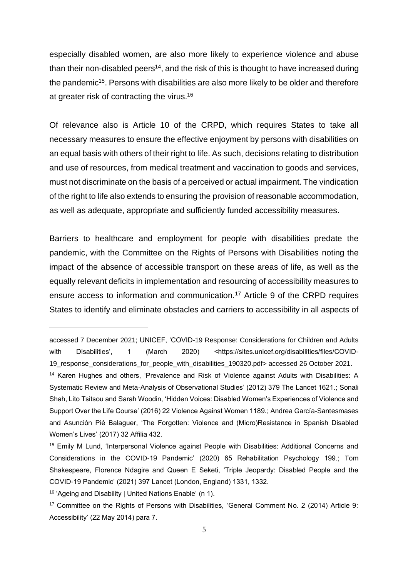especially disabled women, are also more likely to experience violence and abuse than their non-disabled peers<sup>14</sup>, and the risk of this is thought to have increased during the pandemic<sup>15</sup>. Persons with disabilities are also more likely to be older and therefore at greater risk of contracting the virus.<sup>16</sup>

Of relevance also is Article 10 of the CRPD, which requires States to take all necessary measures to ensure the effective enjoyment by persons with disabilities on an equal basis with others of their right to life. As such, decisions relating to distribution and use of resources, from medical treatment and vaccination to goods and services, must not discriminate on the basis of a perceived or actual impairment. The vindication of the right to life also extends to ensuring the provision of reasonable accommodation, as well as adequate, appropriate and sufficiently funded accessibility measures.

Barriers to healthcare and employment for people with disabilities predate the pandemic, with the Committee on the Rights of Persons with Disabilities noting the impact of the absence of accessible transport on these areas of life, as well as the equally relevant deficits in implementation and resourcing of accessibility measures to ensure access to information and communication.<sup>17</sup> Article 9 of the CRPD requires States to identify and eliminate obstacles and carriers to accessibility in all aspects of

accessed 7 December 2021; UNICEF, 'COVID-19 Response: Considerations for Children and Adults with Disabilities', 1 (March 2020) <https://sites.unicef.org/disabilities/files/COVID-19 response considerations for people with disabilities 190320.pdf> accessed 26 October 2021.

<sup>14</sup> Karen Hughes and others, 'Prevalence and Risk of Violence against Adults with Disabilities: A Systematic Review and Meta-Analysis of Observational Studies' (2012) 379 The Lancet 1621.; Sonali Shah, Lito Tsitsou and Sarah Woodin, 'Hidden Voices: Disabled Women's Experiences of Violence and Support Over the Life Course' (2016) 22 Violence Against Women 1189.; Andrea García-Santesmases and Asunción Pié Balaguer, 'The Forgotten: Violence and (Micro)Resistance in Spanish Disabled Women's Lives' (2017) 32 Affilia 432.

<sup>&</sup>lt;sup>15</sup> Emily M Lund, 'Interpersonal Violence against People with Disabilities: Additional Concerns and Considerations in the COVID-19 Pandemic' (2020) 65 Rehabilitation Psychology 199.; Tom Shakespeare, Florence Ndagire and Queen E Seketi, 'Triple Jeopardy: Disabled People and the COVID-19 Pandemic' (2021) 397 Lancet (London, England) 1331, 1332.

<sup>16</sup> 'Ageing and Disability | United Nations Enable' (n 1).

<sup>17</sup> Committee on the Rights of Persons with Disabilities, 'General Comment No. 2 (2014) Article 9: Accessibility' (22 May 2014) para 7.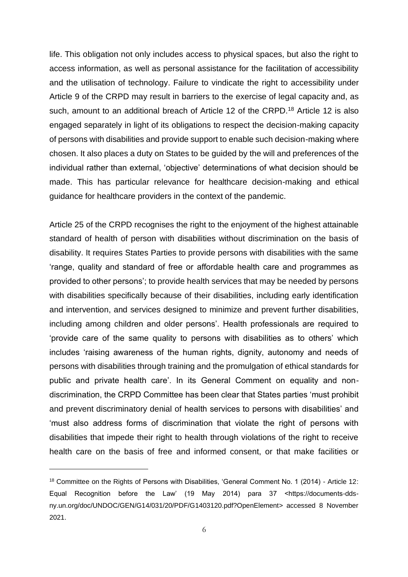life. This obligation not only includes access to physical spaces, but also the right to access information, as well as personal assistance for the facilitation of accessibility and the utilisation of technology. Failure to vindicate the right to accessibility under Article 9 of the CRPD may result in barriers to the exercise of legal capacity and, as such, amount to an additional breach of Article 12 of the CRPD.<sup>18</sup> Article 12 is also engaged separately in light of its obligations to respect the decision-making capacity of persons with disabilities and provide support to enable such decision-making where chosen. It also places a duty on States to be guided by the will and preferences of the individual rather than external, 'objective' determinations of what decision should be made. This has particular relevance for healthcare decision-making and ethical guidance for healthcare providers in the context of the pandemic.

Article 25 of the CRPD recognises the right to the enjoyment of the highest attainable standard of health of person with disabilities without discrimination on the basis of disability. It requires States Parties to provide persons with disabilities with the same 'range, quality and standard of free or affordable health care and programmes as provided to other persons'; to provide health services that may be needed by persons with disabilities specifically because of their disabilities, including early identification and intervention, and services designed to minimize and prevent further disabilities, including among children and older persons'. Health professionals are required to 'provide care of the same quality to persons with disabilities as to others' which includes 'raising awareness of the human rights, dignity, autonomy and needs of persons with disabilities through training and the promulgation of ethical standards for public and private health care'. In its General Comment on equality and nondiscrimination, the CRPD Committee has been clear that States parties 'must prohibit and prevent discriminatory denial of health services to persons with disabilities' and 'must also address forms of discrimination that violate the right of persons with disabilities that impede their right to health through violations of the right to receive health care on the basis of free and informed consent, or that make facilities or

<sup>&</sup>lt;sup>18</sup> Committee on the Rights of Persons with Disabilities, 'General Comment No. 1 (2014) - Article 12: Equal Recognition before the Law' (19 May 2014) para 37 <https://documents-ddsny.un.org/doc/UNDOC/GEN/G14/031/20/PDF/G1403120.pdf?OpenElement> accessed 8 November 2021.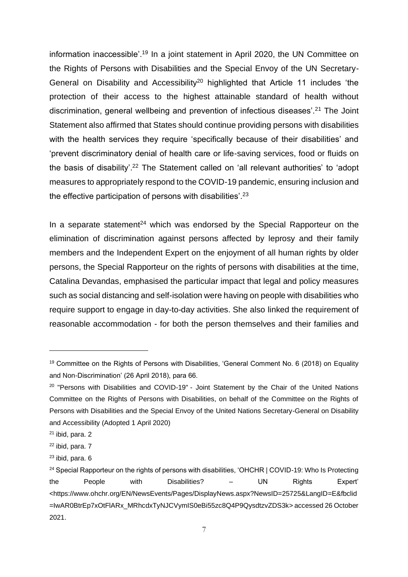information inaccessible'.<sup>19</sup> In a joint statement in April 2020, the UN Committee on the Rights of Persons with Disabilities and the Special Envoy of the UN Secretary-General on Disability and Accessibility<sup>20</sup> highlighted that Article 11 includes 'the protection of their access to the highest attainable standard of health without discrimination, general wellbeing and prevention of infectious diseases'.<sup>21</sup> The Joint Statement also affirmed that States should continue providing persons with disabilities with the health services they require 'specifically because of their disabilities' and 'prevent discriminatory denial of health care or life-saving services, food or fluids on the basis of disability'.<sup>22</sup> The Statement called on 'all relevant authorities' to 'adopt measures to appropriately respond to the COVID-19 pandemic, ensuring inclusion and the effective participation of persons with disabilities'.<sup>23</sup>

In a separate statement<sup>24</sup> which was endorsed by the Special Rapporteur on the elimination of discrimination against persons affected by leprosy and their family members and the Independent Expert on the enjoyment of all human rights by older persons, the Special Rapporteur on the rights of persons with disabilities at the time, Catalina Devandas, emphasised the particular impact that legal and policy measures such as social distancing and self-isolation were having on people with disabilities who require support to engage in day-to-day activities. She also linked the requirement of reasonable accommodation - for both the person themselves and their families and

<sup>&</sup>lt;sup>19</sup> Committee on the Rights of Persons with Disabilities, 'General Comment No. 6 (2018) on Equality and Non-Discrimination' (26 April 2018), para 66.

<sup>&</sup>lt;sup>20</sup> "Persons with Disabilities and COVID-19" - Joint Statement by the Chair of the United Nations Committee on the Rights of Persons with Disabilities, on behalf of the Committee on the Rights of Persons with Disabilities and the Special Envoy of the United Nations Secretary-General on Disability and Accessibility (Adopted 1 April 2020)

 $21$  ibid, para. 2

<sup>22</sup> ibid, para. 7

 $23$  ibid, para.  $6$ 

<sup>&</sup>lt;sup>24</sup> Special Rapporteur on the rights of persons with disabilities, 'OHCHR | COVID-19: Who Is Protecting the People with Disabilities? – UN Rights Expert' <https://www.ohchr.org/EN/NewsEvents/Pages/DisplayNews.aspx?NewsID=25725&LangID=E&fbclid =IwAR0BtrEp7xOtFlARx\_MRhcdxTyNJCVymIS0eBi55zc8Q4P9QysdtzvZDS3k> accessed 26 October 2021.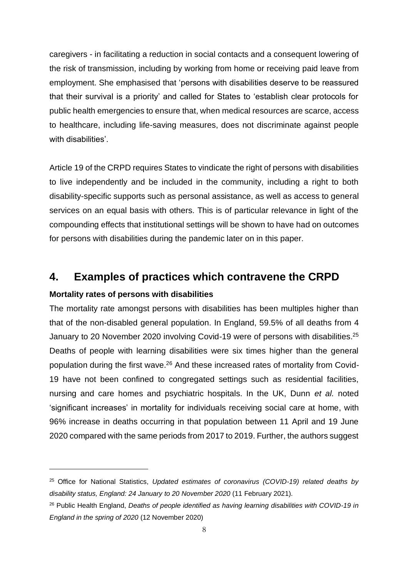caregivers - in facilitating a reduction in social contacts and a consequent lowering of the risk of transmission, including by working from home or receiving paid leave from employment. She emphasised that 'persons with disabilities deserve to be reassured that their survival is a priority' and called for States to 'establish clear protocols for public health emergencies to ensure that, when medical resources are scarce, access to healthcare, including life-saving measures, does not discriminate against people with disabilities'.

Article 19 of the CRPD requires States to vindicate the right of persons with disabilities to live independently and be included in the community, including a right to both disability-specific supports such as personal assistance, as well as access to general services on an equal basis with others. This is of particular relevance in light of the compounding effects that institutional settings will be shown to have had on outcomes for persons with disabilities during the pandemic later on in this paper.

## **4. Examples of practices which contravene the CRPD**

#### **Mortality rates of persons with disabilities**

The mortality rate amongst persons with disabilities has been multiples higher than that of the non-disabled general population. In England, 59.5% of all deaths from 4 January to 20 November 2020 involving Covid-19 were of persons with disabilities.<sup>25</sup> Deaths of people with learning disabilities were six times higher than the general population during the first wave.<sup>26</sup> And these increased rates of mortality from Covid-19 have not been confined to congregated settings such as residential facilities, nursing and care homes and psychiatric hospitals. In the UK, Dunn *et al.* noted 'significant increases' in mortality for individuals receiving social care at home, with 96% increase in deaths occurring in that population between 11 April and 19 June 2020 compared with the same periods from 2017 to 2019. Further, the authors suggest

<sup>25</sup> Office for National Statistics, *Updated estimates of coronavirus (COVID-19) related deaths by disability status, England: 24 January to 20 November 2020* (11 February 2021).

<sup>26</sup> Public Health England, *Deaths of people identified as having learning disabilities with COVID-19 in England in the spring of 2020* (12 November 2020)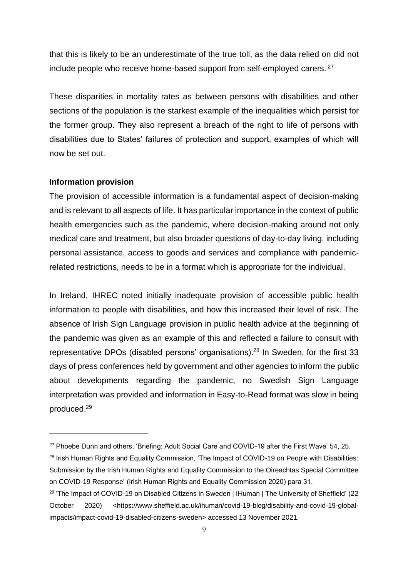that this is likely to be an underestimate of the true toll, as the data relied on did not include people who receive home-based support from self-employed carers. <sup>27</sup>

These disparities in mortality rates as between persons with disabilities and other sections of the population is the starkest example of the inequalities which persist for the former group. They also represent a breach of the right to life of persons with disabilities due to States' failures of protection and support, examples of which will now be set out.

#### **Information provision**

The provision of accessible information is a fundamental aspect of decision-making and is relevant to all aspects of life. It has particular importance in the context of public health emergencies such as the pandemic, where decision-making around not only medical care and treatment, but also broader questions of day-to-day living, including personal assistance, access to goods and services and compliance with pandemicrelated restrictions, needs to be in a format which is appropriate for the individual.

In Ireland, IHREC noted initially inadequate provision of accessible public health information to people with disabilities, and how this increased their level of risk. The absence of Irish Sign Language provision in public health advice at the beginning of the pandemic was given as an example of this and reflected a failure to consult with representative DPOs (disabled persons' organisations).<sup>28</sup> In Sweden, for the first 33 days of press conferences held by government and other agencies to inform the public about developments regarding the pandemic, no Swedish Sign Language interpretation was provided and information in Easy-to-Read format was slow in being produced.<sup>29</sup>

<sup>&</sup>lt;sup>27</sup> Phoebe Dunn and others, 'Briefing: Adult Social Care and COVID-19 after the First Wave' 54, 25.

<sup>&</sup>lt;sup>28</sup> Irish Human Rights and Equality Commission, 'The Impact of COVID-19 on People with Disabilities: Submission by the Irish Human Rights and Equality Commission to the Oireachtas Special Committee on COVID-19 Response' (Irish Human Rights and Equality Commission 2020) para 31.

<sup>&</sup>lt;sup>29</sup> 'The Impact of COVID-19 on Disabled Citizens in Sweden | IHuman | The University of Sheffield' (22 October 2020) <https://www.sheffield.ac.uk/ihuman/covid-19-blog/disability-and-covid-19-globalimpacts/impact-covid-19-disabled-citizens-sweden> accessed 13 November 2021.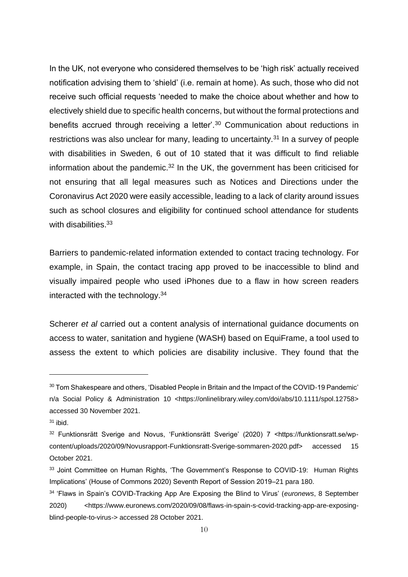In the UK, not everyone who considered themselves to be 'high risk' actually received notification advising them to 'shield' (i.e. remain at home). As such, those who did not receive such official requests 'needed to make the choice about whether and how to electively shield due to specific health concerns, but without the formal protections and benefits accrued through receiving a letter'.<sup>30</sup> Communication about reductions in restrictions was also unclear for many, leading to uncertainty.<sup>31</sup> In a survey of people with disabilities in Sweden, 6 out of 10 stated that it was difficult to find reliable information about the pandemic.<sup>32</sup> In the UK, the government has been criticised for not ensuring that all legal measures such as Notices and Directions under the Coronavirus Act 2020 were easily accessible, leading to a lack of clarity around issues such as school closures and eligibility for continued school attendance for students with disabilities.<sup>33</sup>

Barriers to pandemic-related information extended to contact tracing technology. For example, in Spain, the contact tracing app proved to be inaccessible to blind and visually impaired people who used iPhones due to a flaw in how screen readers interacted with the technology.<sup>34</sup>

Scherer *et al* carried out a content analysis of international guidance documents on access to water, sanitation and hygiene (WASH) based on EquiFrame, a tool used to assess the extent to which policies are disability inclusive. They found that the

<sup>&</sup>lt;sup>30</sup> Tom Shakespeare and others, 'Disabled People in Britain and the Impact of the COVID-19 Pandemic' n/a Social Policy & Administration 10 <https://onlinelibrary.wiley.com/doi/abs/10.1111/spol.12758> accessed 30 November 2021.

 $31$  ibid.

<sup>32</sup> Funktionsrätt Sverige and Novus, 'Funktionsrätt Sverige' (2020) 7 <https://funktionsratt.se/wpcontent/uploads/2020/09/Novusrapport-Funktionsratt-Sverige-sommaren-2020.pdf> accessed 15 October 2021.

<sup>&</sup>lt;sup>33</sup> Joint Committee on Human Rights, 'The Government's Response to COVID-19: Human Rights Implications' (House of Commons 2020) Seventh Report of Session 2019–21 para 180.

<sup>34</sup> 'Flaws in Spain's COVID-Tracking App Are Exposing the Blind to Virus' (*euronews*, 8 September 2020) <https://www.euronews.com/2020/09/08/flaws-in-spain-s-covid-tracking-app-are-exposingblind-people-to-virus-> accessed 28 October 2021.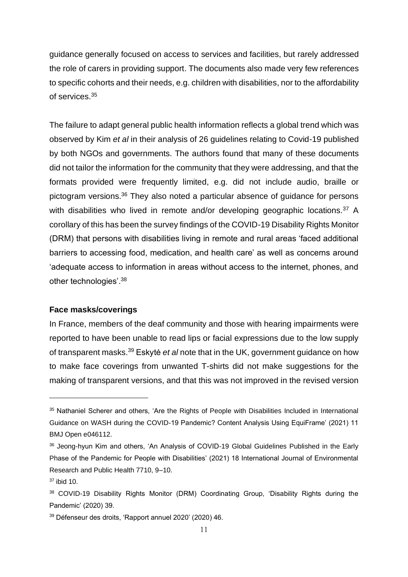guidance generally focused on access to services and facilities, but rarely addressed the role of carers in providing support. The documents also made very few references to specific cohorts and their needs, e.g. children with disabilities, nor to the affordability of services.<sup>35</sup>

The failure to adapt general public health information reflects a global trend which was observed by Kim *et al* in their analysis of 26 guidelines relating to Covid-19 published by both NGOs and governments. The authors found that many of these documents did not tailor the information for the community that they were addressing, and that the formats provided were frequently limited, e.g. did not include audio, braille or pictogram versions.<sup>36</sup> They also noted a particular absence of guidance for persons with disabilities who lived in remote and/or developing geographic locations.<sup>37</sup> A corollary of this has been the survey findings of the COVID-19 Disability Rights Monitor (DRM) that persons with disabilities living in remote and rural areas 'faced additional barriers to accessing food, medication, and health care' as well as concerns around 'adequate access to information in areas without access to the internet, phones, and other technologies'.<sup>38</sup>

#### **Face masks/coverings**

In France, members of the deaf community and those with hearing impairments were reported to have been unable to read lips or facial expressions due to the low supply of transparent masks.<sup>39</sup> Eskytė *et al* note that in the UK, government guidance on how to make face coverings from unwanted T-shirts did not make suggestions for the making of transparent versions, and that this was not improved in the revised version

<sup>&</sup>lt;sup>35</sup> Nathaniel Scherer and others, 'Are the Rights of People with Disabilities Included in International Guidance on WASH during the COVID-19 Pandemic? Content Analysis Using EquiFrame' (2021) 11 BMJ Open e046112.

<sup>&</sup>lt;sup>36</sup> Jeong-hyun Kim and others, 'An Analysis of COVID-19 Global Guidelines Published in the Early Phase of the Pandemic for People with Disabilities' (2021) 18 International Journal of Environmental Research and Public Health 7710, 9–10.

 $37$  ibid 10.

<sup>38</sup> COVID-19 Disability Rights Monitor (DRM) Coordinating Group, 'Disability Rights during the Pandemic' (2020) 39.

<sup>39</sup> Défenseur des droits, 'Rapport annuel 2020' (2020) 46.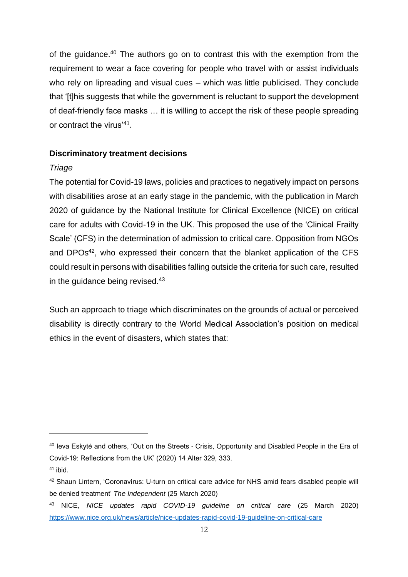of the guidance.<sup>40</sup> The authors go on to contrast this with the exemption from the requirement to wear a face covering for people who travel with or assist individuals who rely on lipreading and visual cues – which was little publicised. They conclude that '[t]his suggests that while the government is reluctant to support the development of deaf-friendly face masks … it is willing to accept the risk of these people spreading or contract the virus'<sup>41</sup> .

#### **Discriminatory treatment decisions**

#### *Triage*

The potential for Covid-19 laws, policies and practices to negatively impact on persons with disabilities arose at an early stage in the pandemic, with the publication in March 2020 of guidance by the National Institute for Clinical Excellence (NICE) on critical care for adults with Covid-19 in the UK. This proposed the use of the 'Clinical Frailty Scale' (CFS) in the determination of admission to critical care. Opposition from NGOs and DPOs<sup>42</sup>, who expressed their concern that the blanket application of the CFS could result in persons with disabilities falling outside the criteria for such care, resulted in the quidance being revised.<sup>43</sup>

Such an approach to triage which discriminates on the grounds of actual or perceived disability is directly contrary to the World Medical Association's position on medical ethics in the event of disasters, which states that:

<sup>40</sup> Ieva Eskytė and others, 'Out on the Streets - Crisis, Opportunity and Disabled People in the Era of Covid-19: Reflections from the UK' (2020) 14 Alter 329, 333.

 $41$  ibid.

<sup>42</sup> Shaun Lintern, 'Coronavirus: U-turn on critical care advice for NHS amid fears disabled people will be denied treatment' *The Independent* (25 March 2020)

<sup>43</sup> NICE, *NICE updates rapid COVID-19 guideline on critical care* (25 March 2020) <https://www.nice.org.uk/news/article/nice-updates-rapid-covid-19-guideline-on-critical-care>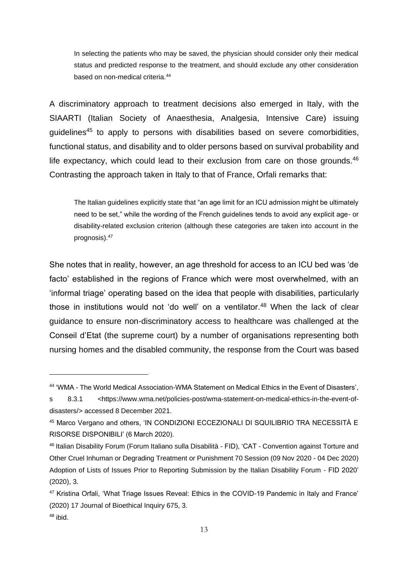In selecting the patients who may be saved, the physician should consider only their medical status and predicted response to the treatment, and should exclude any other consideration based on non-medical criteria.<sup>44</sup>

A discriminatory approach to treatment decisions also emerged in Italy, with the SIAARTI (Italian Society of Anaesthesia, Analgesia, Intensive Care) issuing guidelines<sup>45</sup> to apply to persons with disabilities based on severe comorbidities, functional status, and disability and to older persons based on survival probability and life expectancy, which could lead to their exclusion from care on those grounds.<sup>46</sup> Contrasting the approach taken in Italy to that of France, Orfali remarks that:

The Italian guidelines explicitly state that "an age limit for an ICU admission might be ultimately need to be set," while the wording of the French guidelines tends to avoid any explicit age- or disability-related exclusion criterion (although these categories are taken into account in the prognosis).<sup>47</sup>

She notes that in reality, however, an age threshold for access to an ICU bed was 'de facto' established in the regions of France which were most overwhelmed, with an 'informal triage' operating based on the idea that people with disabilities, particularly those in institutions would not 'do well' on a ventilator.<sup>48</sup> When the lack of clear guidance to ensure non-discriminatory access to healthcare was challenged at the Conseil d'Etat (the supreme court) by a number of organisations representing both nursing homes and the disabled community, the response from the Court was based

<sup>44</sup> 'WMA - The World Medical Association-WMA Statement on Medical Ethics in the Event of Disasters',

s 8.3.1 <https://www.wma.net/policies-post/wma-statement-on-medical-ethics-in-the-event-ofdisasters/> accessed 8 December 2021.

<sup>45</sup> Marco Vergano and others, 'IN CONDIZIONI ECCEZIONALI DI SQUILIBRIO TRA NECESSITÀ E RISORSE DISPONIBILI' (6 March 2020).

<sup>46</sup> Italian Disability Forum (Forum Italiano sulla Disabilità - FID), 'CAT - Convention against Torture and Other Cruel Inhuman or Degrading Treatment or Punishment 70 Session (09 Nov 2020 - 04 Dec 2020) Adoption of Lists of Issues Prior to Reporting Submission by the Italian Disability Forum - FID 2020' (2020), 3.

<sup>47</sup> Kristina Orfali, 'What Triage Issues Reveal: Ethics in the COVID-19 Pandemic in Italy and France' (2020) 17 Journal of Bioethical Inquiry 675, 3.

 $48$  ibid.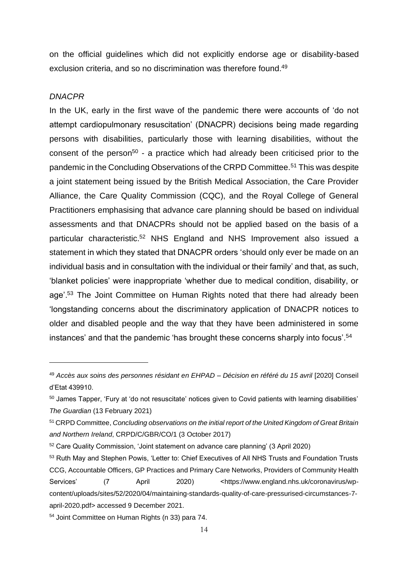on the official guidelines which did not explicitly endorse age or disability-based exclusion criteria, and so no discrimination was therefore found.<sup>49</sup>

#### *DNACPR*

In the UK, early in the first wave of the pandemic there were accounts of 'do not attempt cardiopulmonary resuscitation' (DNACPR) decisions being made regarding persons with disabilities, particularly those with learning disabilities, without the consent of the person<sup>50</sup> - a practice which had already been criticised prior to the pandemic in the Concluding Observations of the CRPD Committee.<sup>51</sup> This was despite a joint statement being issued by the British Medical Association, the Care Provider Alliance, the Care Quality Commission (CQC), and the Royal College of General Practitioners emphasising that advance care planning should be based on individual assessments and that DNACPRs should not be applied based on the basis of a particular characteristic.<sup>52</sup> NHS England and NHS Improvement also issued a statement in which they stated that DNACPR orders 'should only ever be made on an individual basis and in consultation with the individual or their family' and that, as such, 'blanket policies' were inappropriate 'whether due to medical condition, disability, or age'.<sup>53</sup> The Joint Committee on Human Rights noted that there had already been 'longstanding concerns about the discriminatory application of DNACPR notices to older and disabled people and the way that they have been administered in some instances' and that the pandemic 'has brought these concerns sharply into focus'.<sup>54</sup>

<sup>49</sup> *Accès aux soins des personnes résidant en EHPAD – Décision en référé du 15 avril* [2020] Conseil d'Etat 439910.

<sup>&</sup>lt;sup>50</sup> James Tapper, 'Fury at 'do not resuscitate' notices given to Covid patients with learning disabilities' *The Guardian* (13 February 2021)

<sup>51</sup> CRPD Committee, *Concluding observations on the initial report of the United Kingdom of Great Britain and Northern Ireland*, CRPD/C/GBR/CO/1 (3 October 2017)

<sup>52</sup> Care Quality Commission, 'Joint statement on advance care planning' (3 April 2020)

<sup>53</sup> Ruth May and Stephen Powis, 'Letter to: Chief Executives of All NHS Trusts and Foundation Trusts CCG, Accountable Officers, GP Practices and Primary Care Networks, Providers of Community Health Services' (7 April 2020) <https://www.england.nhs.uk/coronavirus/wpcontent/uploads/sites/52/2020/04/maintaining-standards-quality-of-care-pressurised-circumstances-7 april-2020.pdf> accessed 9 December 2021.

<sup>54</sup> Joint Committee on Human Rights (n 33) para 74.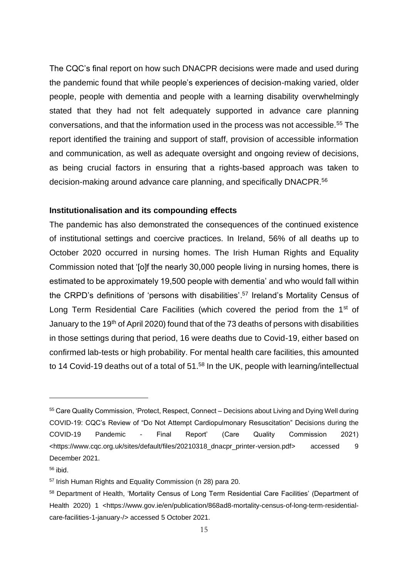The CQC's final report on how such DNACPR decisions were made and used during the pandemic found that while people's experiences of decision-making varied, older people, people with dementia and people with a learning disability overwhelmingly stated that they had not felt adequately supported in advance care planning conversations, and that the information used in the process was not accessible.<sup>55</sup> The report identified the training and support of staff, provision of accessible information and communication, as well as adequate oversight and ongoing review of decisions, as being crucial factors in ensuring that a rights-based approach was taken to decision-making around advance care planning, and specifically DNACPR.<sup>56</sup>

#### **Institutionalisation and its compounding effects**

The pandemic has also demonstrated the consequences of the continued existence of institutional settings and coercive practices. In Ireland, 56% of all deaths up to October 2020 occurred in nursing homes. The Irish Human Rights and Equality Commission noted that '[o]f the nearly 30,000 people living in nursing homes, there is estimated to be approximately 19,500 people with dementia' and who would fall within the CRPD's definitions of 'persons with disabilities'.<sup>57</sup> Ireland's Mortality Census of Long Term Residential Care Facilities (which covered the period from the 1<sup>st</sup> of January to the 19<sup>th</sup> of April 2020) found that of the 73 deaths of persons with disabilities in those settings during that period, 16 were deaths due to Covid-19, either based on confirmed lab-tests or high probability. For mental health care facilities, this amounted to 14 Covid-19 deaths out of a total of 51.<sup>58</sup> In the UK, people with learning/intellectual

<sup>55</sup> Care Quality Commission, 'Protect, Respect, Connect – Decisions about Living and Dying Well during COVID-19: CQC's Review of "Do Not Attempt Cardiopulmonary Resuscitation" Decisions during the COVID-19 Pandemic - Final Report' (Care Quality Commission 2021) <https://www.cqc.org.uk/sites/default/files/20210318\_dnacpr\_printer-version.pdf> accessed 9 December 2021.

 $56$  ibid.

<sup>57</sup> Irish Human Rights and Equality Commission (n 28) para 20.

<sup>58</sup> Department of Health, 'Mortality Census of Long Term Residential Care Facilities' (Department of Health 2020) 1 <https://www.gov.ie/en/publication/868ad8-mortality-census-of-long-term-residentialcare-facilities-1-january-/> accessed 5 October 2021.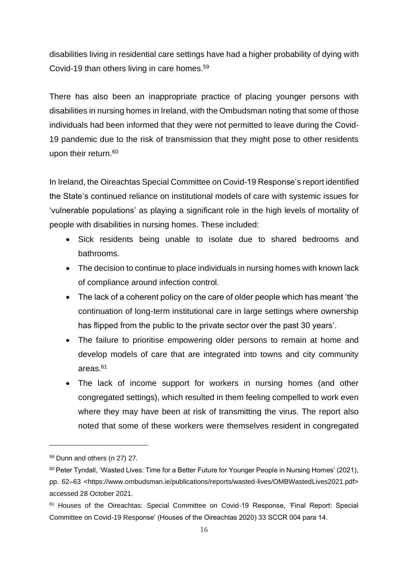disabilities living in residential care settings have had a higher probability of dying with Covid-19 than others living in care homes.<sup>59</sup>

There has also been an inappropriate practice of placing younger persons with disabilities in nursing homes in Ireland, with the Ombudsman noting that some of those individuals had been informed that they were not permitted to leave during the Covid-19 pandemic due to the risk of transmission that they might pose to other residents upon their return. 60

In Ireland, the Oireachtas Special Committee on Covid-19 Response's report identified the State's continued reliance on institutional models of care with systemic issues for 'vulnerable populations' as playing a significant role in the high levels of mortality of people with disabilities in nursing homes. These included:

- Sick residents being unable to isolate due to shared bedrooms and bathrooms.
- The decision to continue to place individuals in nursing homes with known lack of compliance around infection control.
- The lack of a coherent policy on the care of older people which has meant 'the continuation of long-term institutional care in large settings where ownership has flipped from the public to the private sector over the past 30 years'.
- The failure to prioritise empowering older persons to remain at home and develop models of care that are integrated into towns and city community areas.<sup>61</sup>
- The lack of income support for workers in nursing homes (and other congregated settings), which resulted in them feeling compelled to work even where they may have been at risk of transmitting the virus. The report also noted that some of these workers were themselves resident in congregated

<sup>59</sup> Dunn and others (n 27) 27.

 $60$  Peter Tyndall, 'Wasted Lives: Time for a Better Future for Younger People in Nursing Homes' (2021), pp. 62–63 <https://www.ombudsman.ie/publications/reports/wasted-lives/OMBWastedLives2021.pdf> accessed 28 October 2021.

<sup>61</sup> Houses of the Oireachtas: Special Committee on Covid-19 Response, 'Final Report: Special Committee on Covid-19 Response' (Houses of the Oireachtas 2020) 33 SCCR 004 para 14.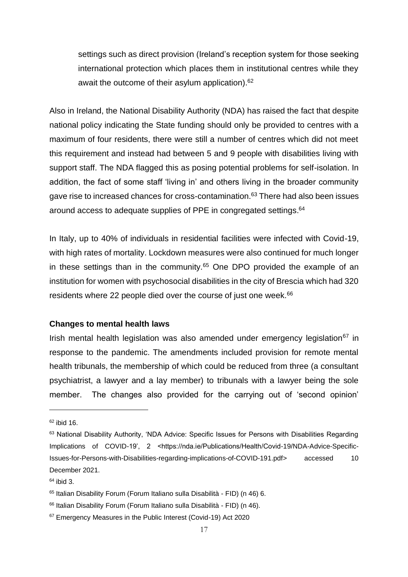settings such as direct provision (Ireland's reception system for those seeking international protection which places them in institutional centres while they await the outcome of their asylum application).<sup>62</sup>

Also in Ireland, the National Disability Authority (NDA) has raised the fact that despite national policy indicating the State funding should only be provided to centres with a maximum of four residents, there were still a number of centres which did not meet this requirement and instead had between 5 and 9 people with disabilities living with support staff. The NDA flagged this as posing potential problems for self-isolation. In addition, the fact of some staff 'living in' and others living in the broader community gave rise to increased chances for cross-contamination.<sup>63</sup> There had also been issues around access to adequate supplies of PPE in congregated settings.<sup>64</sup>

In Italy, up to 40% of individuals in residential facilities were infected with Covid-19, with high rates of mortality. Lockdown measures were also continued for much longer in these settings than in the community.<sup>65</sup> One DPO provided the example of an institution for women with psychosocial disabilities in the city of Brescia which had 320 residents where 22 people died over the course of just one week.<sup>66</sup>

#### **Changes to mental health laws**

Irish mental health legislation was also amended under emergency legislation<sup>67</sup> in response to the pandemic. The amendments included provision for remote mental health tribunals, the membership of which could be reduced from three (a consultant psychiatrist, a lawyer and a lay member) to tribunals with a lawyer being the sole member. The changes also provided for the carrying out of 'second opinion'

<sup>62</sup> ibid 16.

<sup>&</sup>lt;sup>63</sup> National Disability Authority, 'NDA Advice: Specific Issues for Persons with Disabilities Regarding Implications of COVID-19', 2 <https://nda.ie/Publications/Health/Covid-19/NDA-Advice-Specific-Issues-for-Persons-with-Disabilities-regarding-implications-of-COVID-191.pdf> accessed 10 December 2021.

 $64$  ibid 3.

<sup>65</sup> Italian Disability Forum (Forum Italiano sulla Disabilità - FID) (n 46) 6.

<sup>66</sup> Italian Disability Forum (Forum Italiano sulla Disabilità - FID) (n 46).

<sup>&</sup>lt;sup>67</sup> Emergency Measures in the Public Interest (Covid-19) Act 2020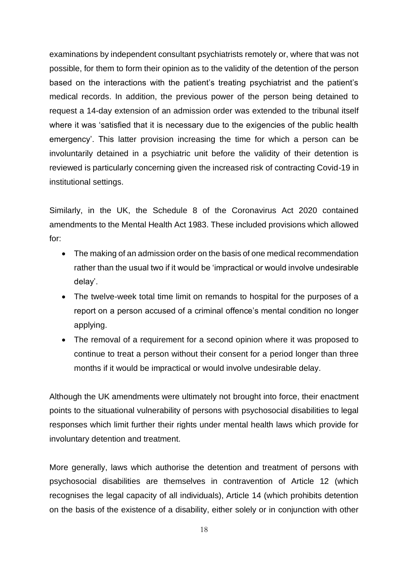examinations by independent consultant psychiatrists remotely or, where that was not possible, for them to form their opinion as to the validity of the detention of the person based on the interactions with the patient's treating psychiatrist and the patient's medical records. In addition, the previous power of the person being detained to request a 14-day extension of an admission order was extended to the tribunal itself where it was 'satisfied that it is necessary due to the exigencies of the public health emergency'. This latter provision increasing the time for which a person can be involuntarily detained in a psychiatric unit before the validity of their detention is reviewed is particularly concerning given the increased risk of contracting Covid-19 in institutional settings.

Similarly, in the UK, the Schedule 8 of the Coronavirus Act 2020 contained amendments to the Mental Health Act 1983. These included provisions which allowed for:

- The making of an admission order on the basis of one medical recommendation rather than the usual two if it would be 'impractical or would involve undesirable delay'.
- The twelve-week total time limit on remands to hospital for the purposes of a report on a person accused of a criminal offence's mental condition no longer applying.
- The removal of a requirement for a second opinion where it was proposed to continue to treat a person without their consent for a period longer than three months if it would be impractical or would involve undesirable delay.

Although the UK amendments were ultimately not brought into force, their enactment points to the situational vulnerability of persons with psychosocial disabilities to legal responses which limit further their rights under mental health laws which provide for involuntary detention and treatment.

More generally, laws which authorise the detention and treatment of persons with psychosocial disabilities are themselves in contravention of Article 12 (which recognises the legal capacity of all individuals), Article 14 (which prohibits detention on the basis of the existence of a disability, either solely or in conjunction with other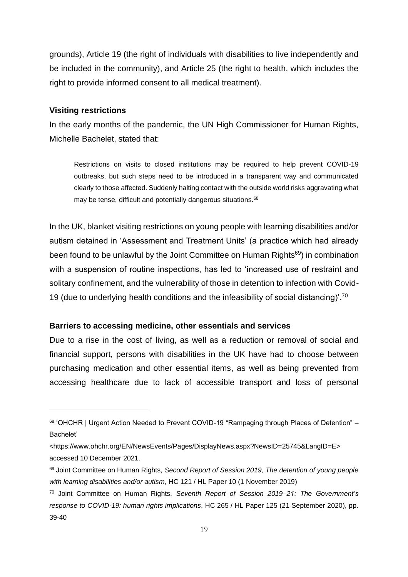grounds), Article 19 (the right of individuals with disabilities to live independently and be included in the community), and Article 25 (the right to health, which includes the right to provide informed consent to all medical treatment).

#### **Visiting restrictions**

In the early months of the pandemic, the UN High Commissioner for Human Rights, Michelle Bachelet, stated that:

Restrictions on visits to closed institutions may be required to help prevent COVID-19 outbreaks, but such steps need to be introduced in a transparent way and communicated clearly to those affected. Suddenly halting contact with the outside world risks aggravating what may be tense, difficult and potentially dangerous situations.<sup>68</sup>

In the UK, blanket visiting restrictions on young people with learning disabilities and/or autism detained in 'Assessment and Treatment Units' (a practice which had already been found to be unlawful by the Joint Committee on Human Rights<sup>69</sup>) in combination with a suspension of routine inspections, has led to 'increased use of restraint and solitary confinement, and the vulnerability of those in detention to infection with Covid-19 (due to underlying health conditions and the infeasibility of social distancing)'.<sup>70</sup>

#### **Barriers to accessing medicine, other essentials and services**

Due to a rise in the cost of living, as well as a reduction or removal of social and financial support, persons with disabilities in the UK have had to choose between purchasing medication and other essential items, as well as being prevented from accessing healthcare due to lack of accessible transport and loss of personal

<sup>68</sup> 'OHCHR | Urgent Action Needed to Prevent COVID-19 "Rampaging through Places of Detention" – Bachelet'

<sup>&</sup>lt;https://www.ohchr.org/EN/NewsEvents/Pages/DisplayNews.aspx?NewsID=25745&LangID=E> accessed 10 December 2021.

<sup>69</sup> Joint Committee on Human Rights, *Second Report of Session 2019, The detention of young people with learning disabilities and/or autism*, HC 121 / HL Paper 10 (1 November 2019)

<sup>70</sup> Joint Committee on Human Rights, *Seventh Report of Session 2019–21: The Government's response to COVID-19: human rights implications*, HC 265 / HL Paper 125 (21 September 2020), pp. 39-40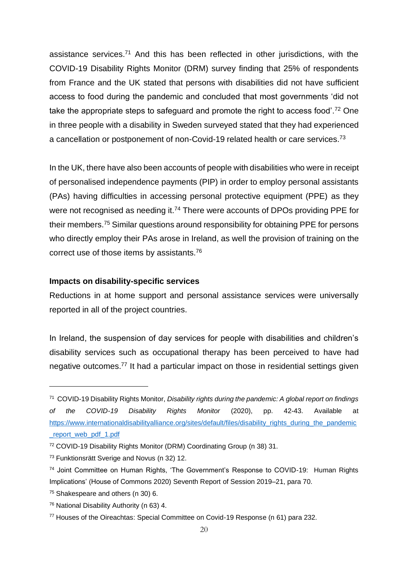assistance services.<sup>71</sup> And this has been reflected in other jurisdictions, with the COVID-19 Disability Rights Monitor (DRM) survey finding that 25% of respondents from France and the UK stated that persons with disabilities did not have sufficient access to food during the pandemic and concluded that most governments 'did not take the appropriate steps to safeguard and promote the right to access food'.<sup>72</sup> One in three people with a disability in Sweden surveyed stated that they had experienced a cancellation or postponement of non-Covid-19 related health or care services.<sup>73</sup>

In the UK, there have also been accounts of people with disabilities who were in receipt of personalised independence payments (PIP) in order to employ personal assistants (PAs) having difficulties in accessing personal protective equipment (PPE) as they were not recognised as needing it.<sup>74</sup> There were accounts of DPOs providing PPE for their members.<sup>75</sup> Similar questions around responsibility for obtaining PPE for persons who directly employ their PAs arose in Ireland, as well the provision of training on the correct use of those items by assistants.<sup>76</sup>

#### **Impacts on disability-specific services**

Reductions in at home support and personal assistance services were universally reported in all of the project countries.

In Ireland, the suspension of day services for people with disabilities and children's disability services such as occupational therapy has been perceived to have had negative outcomes.<sup>77</sup> It had a particular impact on those in residential settings given

<sup>71</sup> COVID-19 Disability Rights Monitor, *Disability rights during the pandemic: A global report on findings of the COVID-19 Disability Rights Monitor* (2020), pp. 42-43. Available at [https://www.internationaldisabilityalliance.org/sites/default/files/disability\\_rights\\_during\\_the\\_pandemic](https://www.internationaldisabilityalliance.org/sites/default/files/disability_rights_during_the_pandemic_report_web_pdf_1.pdf) [\\_report\\_web\\_pdf\\_1.pdf](https://www.internationaldisabilityalliance.org/sites/default/files/disability_rights_during_the_pandemic_report_web_pdf_1.pdf)

<sup>72</sup> COVID-19 Disability Rights Monitor (DRM) Coordinating Group (n 38) 31.

<sup>73</sup> Funktionsrätt Sverige and Novus (n 32) 12.

<sup>74</sup> Joint Committee on Human Rights, 'The Government's Response to COVID-19: Human Rights Implications' (House of Commons 2020) Seventh Report of Session 2019–21, para 70.

<sup>75</sup> Shakespeare and others (n 30) 6.

<sup>76</sup> National Disability Authority (n 63) 4.

<sup>77</sup> Houses of the Oireachtas: Special Committee on Covid-19 Response (n 61) para 232.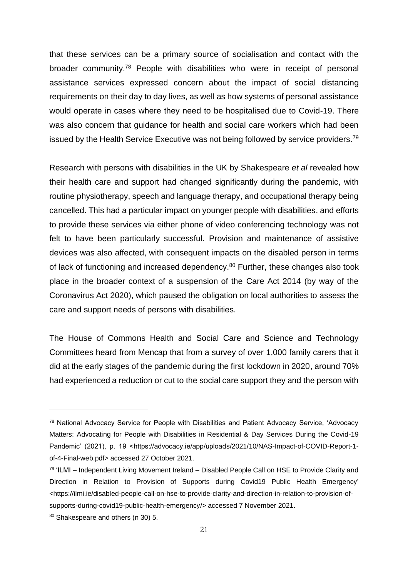that these services can be a primary source of socialisation and contact with the broader community.<sup>78</sup> People with disabilities who were in receipt of personal assistance services expressed concern about the impact of social distancing requirements on their day to day lives, as well as how systems of personal assistance would operate in cases where they need to be hospitalised due to Covid-19. There was also concern that guidance for health and social care workers which had been issued by the Health Service Executive was not being followed by service providers.<sup>79</sup>

Research with persons with disabilities in the UK by Shakespeare *et al* revealed how their health care and support had changed significantly during the pandemic, with routine physiotherapy, speech and language therapy, and occupational therapy being cancelled. This had a particular impact on younger people with disabilities, and efforts to provide these services via either phone of video conferencing technology was not felt to have been particularly successful. Provision and maintenance of assistive devices was also affected, with consequent impacts on the disabled person in terms of lack of functioning and increased dependency.<sup>80</sup> Further, these changes also took place in the broader context of a suspension of the Care Act 2014 (by way of the Coronavirus Act 2020), which paused the obligation on local authorities to assess the care and support needs of persons with disabilities.

The House of Commons Health and Social Care and Science and Technology Committees heard from Mencap that from a survey of over 1,000 family carers that it did at the early stages of the pandemic during the first lockdown in 2020, around 70% had experienced a reduction or cut to the social care support they and the person with

<sup>78</sup> National Advocacy Service for People with Disabilities and Patient Advocacy Service, 'Advocacy Matters: Advocating for People with Disabilities in Residential & Day Services During the Covid-19 Pandemic' (2021), p. 19 <https://advocacy.ie/app/uploads/2021/10/NAS-Impact-of-COVID-Report-1of-4-Final-web.pdf> accessed 27 October 2021.

<sup>&</sup>lt;sup>79</sup> 'ILMI – Independent Living Movement Ireland – Disabled People Call on HSE to Provide Clarity and Direction in Relation to Provision of Supports during Covid19 Public Health Emergency' <https://ilmi.ie/disabled-people-call-on-hse-to-provide-clarity-and-direction-in-relation-to-provision-ofsupports-during-covid19-public-health-emergency/> accessed 7 November 2021.

<sup>80</sup> Shakespeare and others (n 30) 5.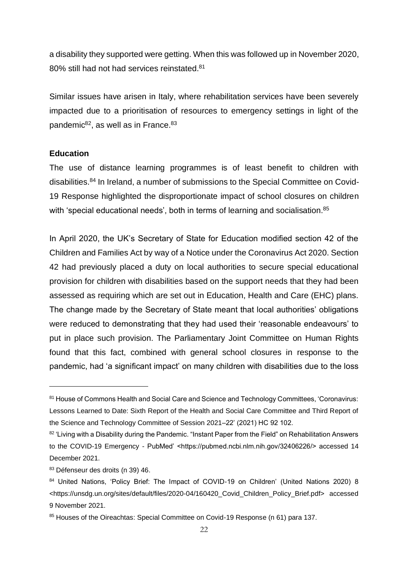a disability they supported were getting. When this was followed up in November 2020, 80% still had not had services reinstated.<sup>81</sup>

Similar issues have arisen in Italy, where rehabilitation services have been severely impacted due to a prioritisation of resources to emergency settings in light of the pandemic<sup>82</sup>, as well as in France.<sup>83</sup>

#### **Education**

The use of distance learning programmes is of least benefit to children with disabilities.<sup>84</sup> In Ireland, a number of submissions to the Special Committee on Covid-19 Response highlighted the disproportionate impact of school closures on children with 'special educational needs', both in terms of learning and socialisation.<sup>85</sup>

In April 2020, the UK's Secretary of State for Education modified section 42 of the Children and Families Act by way of a Notice under the Coronavirus Act 2020. Section 42 had previously placed a duty on local authorities to secure special educational provision for children with disabilities based on the support needs that they had been assessed as requiring which are set out in Education, Health and Care (EHC) plans. The change made by the Secretary of State meant that local authorities' obligations were reduced to demonstrating that they had used their 'reasonable endeavours' to put in place such provision. The Parliamentary Joint Committee on Human Rights found that this fact, combined with general school closures in response to the pandemic, had 'a significant impact' on many children with disabilities due to the loss

<sup>81</sup> House of Commons Health and Social Care and Science and Technology Committees, 'Coronavirus: Lessons Learned to Date: Sixth Report of the Health and Social Care Committee and Third Report of the Science and Technology Committee of Session 2021–22' (2021) HC 92 102.

<sup>82 &#</sup>x27;Living with a Disability during the Pandemic. "Instant Paper from the Field" on Rehabilitation Answers to the COVID-19 Emergency - PubMed' <https://pubmed.ncbi.nlm.nih.gov/32406226/> accessed 14 December 2021.

<sup>83</sup> Défenseur des droits (n 39) 46.

<sup>84</sup> United Nations, 'Policy Brief: The Impact of COVID-19 on Children' (United Nations 2020) 8 <https://unsdg.un.org/sites/default/files/2020-04/160420\_Covid\_Children\_Policy\_Brief.pdf> accessed 9 November 2021.

<sup>85</sup> Houses of the Oireachtas: Special Committee on Covid-19 Response (n 61) para 137.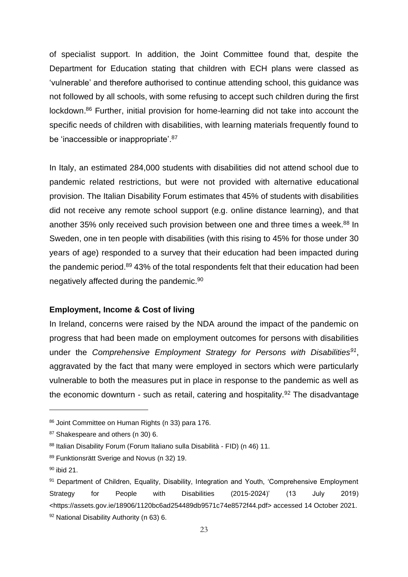of specialist support. In addition, the Joint Committee found that, despite the Department for Education stating that children with ECH plans were classed as 'vulnerable' and therefore authorised to continue attending school, this guidance was not followed by all schools, with some refusing to accept such children during the first lockdown.<sup>86</sup> Further, initial provision for home-learning did not take into account the specific needs of children with disabilities, with learning materials frequently found to be 'inaccessible or inappropriate'.<sup>87</sup>

In Italy, an estimated 284,000 students with disabilities did not attend school due to pandemic related restrictions, but were not provided with alternative educational provision. The Italian Disability Forum estimates that 45% of students with disabilities did not receive any remote school support (e.g. online distance learning), and that another 35% only received such provision between one and three times a week.<sup>88</sup> In Sweden, one in ten people with disabilities (with this rising to 45% for those under 30 years of age) responded to a survey that their education had been impacted during the pandemic period.<sup>89</sup> 43% of the total respondents felt that their education had been negatively affected during the pandemic.<sup>90</sup>

#### **Employment, Income & Cost of living**

In Ireland, concerns were raised by the NDA around the impact of the pandemic on progress that had been made on employment outcomes for persons with disabilities under the *Comprehensive Employment Strategy for Persons with Disabilities<sup>91</sup>* , aggravated by the fact that many were employed in sectors which were particularly vulnerable to both the measures put in place in response to the pandemic as well as the economic downturn - such as retail, catering and hospitality.<sup>92</sup> The disadvantage

<sup>86</sup> Joint Committee on Human Rights (n 33) para 176.

<sup>87</sup> Shakespeare and others (n 30) 6.

<sup>88</sup> Italian Disability Forum (Forum Italiano sulla Disabilità - FID) (n 46) 11.

<sup>89</sup> Funktionsrätt Sverige and Novus (n 32) 19.

 $90$  ibid 21.

<sup>91</sup> Department of Children, Equality, Disability, Integration and Youth, 'Comprehensive Employment Strategy for People with Disabilities (2015-2024)' (13 July 2019) <https://assets.gov.ie/18906/1120bc6ad254489db9571c74e8572f44.pdf> accessed 14 October 2021. 92 National Disability Authority (n 63) 6.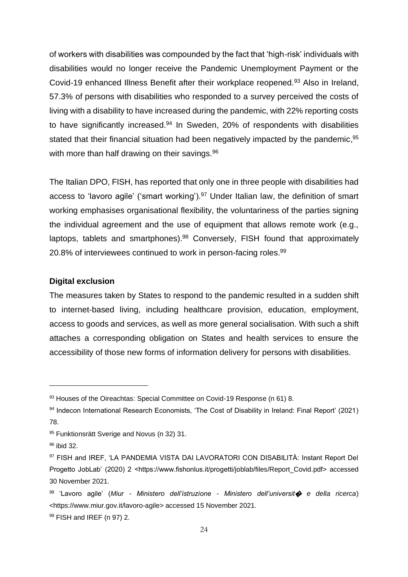of workers with disabilities was compounded by the fact that 'high-risk' individuals with disabilities would no longer receive the Pandemic Unemployment Payment or the Covid-19 enhanced Illness Benefit after their workplace reopened.<sup>93</sup> Also in Ireland, 57.3% of persons with disabilities who responded to a survey perceived the costs of living with a disability to have increased during the pandemic, with 22% reporting costs to have significantly increased.<sup>94</sup> In Sweden, 20% of respondents with disabilities stated that their financial situation had been negatively impacted by the pandemic,<sup>95</sup> with more than half drawing on their savings.<sup>96</sup>

The Italian DPO, FISH, has reported that only one in three people with disabilities had access to 'lavoro agile' ('smart working').<sup>97</sup> Under Italian law, the definition of smart working emphasises organisational flexibility, the voluntariness of the parties signing the individual agreement and the use of equipment that allows remote work (e.g., laptops, tablets and smartphones).<sup>98</sup> Conversely, FISH found that approximately 20.8% of interviewees continued to work in person-facing roles.<sup>99</sup>

#### **Digital exclusion**

The measures taken by States to respond to the pandemic resulted in a sudden shift to internet-based living, including healthcare provision, education, employment, access to goods and services, as well as more general socialisation. With such a shift attaches a corresponding obligation on States and health services to ensure the accessibility of those new forms of information delivery for persons with disabilities.

<sup>93</sup> Houses of the Oireachtas: Special Committee on Covid-19 Response (n 61) 8.

<sup>94</sup> Indecon International Research Economists, 'The Cost of Disability in Ireland: Final Report' (2021) 78.

<sup>95</sup> Funktionsrätt Sverige and Novus (n 32) 31.

<sup>96</sup> ibid 32.

<sup>97</sup> FISH and IREF, 'LA PANDEMIA VISTA DAI LAVORATORI CON DISABILITÀ: Instant Report Del Progetto JobLab' (2020) 2 <https://www.fishonlus.it/progetti/joblab/files/Report\_Covid.pdf> accessed 30 November 2021.

<sup>98</sup> 'Lavoro agile' (*Miur - Ministero dell'istruzione - Ministero dell'universit*� *e della ricerca*) <https://www.miur.gov.it/lavoro-agile> accessed 15 November 2021.

<sup>99</sup> FISH and IREF (n 97) 2.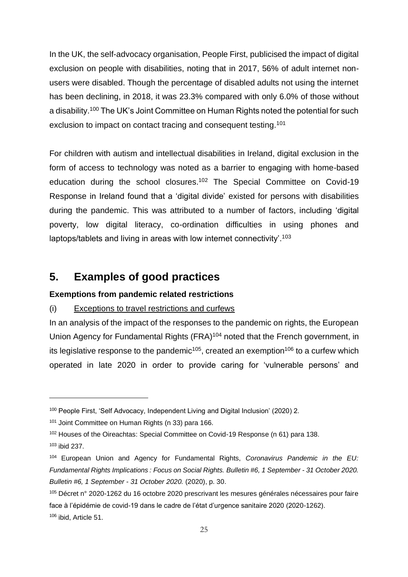In the UK, the self-advocacy organisation, People First, publicised the impact of digital exclusion on people with disabilities, noting that in 2017, 56% of adult internet nonusers were disabled. Though the percentage of disabled adults not using the internet has been declining, in 2018, it was 23.3% compared with only 6.0% of those without a disability.<sup>100</sup> The UK's Joint Committee on Human Rights noted the potential for such exclusion to impact on contact tracing and consequent testing.<sup>101</sup>

For children with autism and intellectual disabilities in Ireland, digital exclusion in the form of access to technology was noted as a barrier to engaging with home-based education during the school closures.<sup>102</sup> The Special Committee on Covid-19 Response in Ireland found that a 'digital divide' existed for persons with disabilities during the pandemic. This was attributed to a number of factors, including 'digital poverty, low digital literacy, co-ordination difficulties in using phones and laptops/tablets and living in areas with low internet connectivity'.<sup>103</sup>

# **5. Examples of good practices**

#### **Exemptions from pandemic related restrictions**

### (i) Exceptions to travel restrictions and curfews

In an analysis of the impact of the responses to the pandemic on rights, the European Union Agency for Fundamental Rights (FRA)<sup>104</sup> noted that the French government, in its legislative response to the pandemic<sup>105</sup>, created an exemption<sup>106</sup> to a curfew which operated in late 2020 in order to provide caring for 'vulnerable persons' and

<sup>100</sup> People First, 'Self Advocacy, Independent Living and Digital Inclusion' (2020) 2.

<sup>101</sup> Joint Committee on Human Rights (n 33) para 166.

<sup>102</sup> Houses of the Oireachtas: Special Committee on Covid-19 Response (n 61) para 138.

 $103$  ibid 237.

<sup>104</sup> European Union and Agency for Fundamental Rights, *Coronavirus Pandemic in the EU: Fundamental Rights Implications : Focus on Social Rights. Bulletin #6, 1 September - 31 October 2020. Bulletin #6, 1 September - 31 October 2020.* (2020), p. 30.

<sup>105</sup> Décret n° 2020-1262 du 16 octobre 2020 prescrivant les mesures générales nécessaires pour faire face à l'épidémie de covid-19 dans le cadre de l'état d'urgence sanitaire 2020 (2020-1262). <sup>106</sup> ibid, Article 51.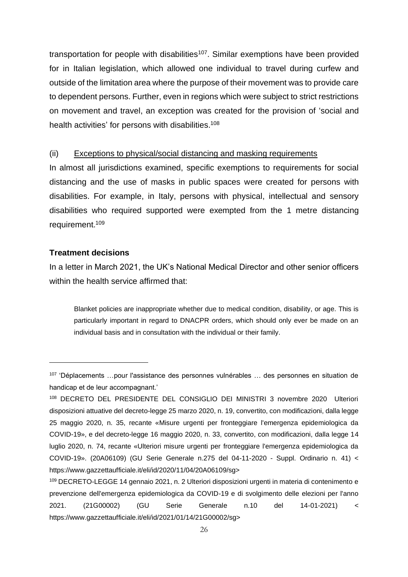transportation for people with disabilities<sup>107</sup>. Similar exemptions have been provided for in Italian legislation, which allowed one individual to travel during curfew and outside of the limitation area where the purpose of their movement was to provide care to dependent persons. Further, even in regions which were subject to strict restrictions on movement and travel, an exception was created for the provision of 'social and health activities' for persons with disabilities.<sup>108</sup>

#### (ii) Exceptions to physical/social distancing and masking requirements

In almost all jurisdictions examined, specific exemptions to requirements for social distancing and the use of masks in public spaces were created for persons with disabilities. For example, in Italy, persons with physical, intellectual and sensory disabilities who required supported were exempted from the 1 metre distancing requirement.<sup>109</sup>

#### **Treatment decisions**

In a letter in March 2021, the UK's National Medical Director and other senior officers within the health service affirmed that:

Blanket policies are inappropriate whether due to medical condition, disability, or age. This is particularly important in regard to DNACPR orders, which should only ever be made on an individual basis and in consultation with the individual or their family.

<sup>107</sup> 'Déplacements …pour l'assistance des personnes vulnérables … des personnes en situation de handicap et de leur accompagnant.'

<sup>108</sup> DECRETO DEL PRESIDENTE DEL CONSIGLIO DEI MINISTRI 3 novembre 2020 Ulteriori disposizioni attuative del decreto-legge 25 marzo 2020, n. 19, convertito, con modificazioni, dalla legge 25 maggio 2020, n. 35, recante «Misure urgenti per fronteggiare l'emergenza epidemiologica da COVID-19», e del decreto-legge 16 maggio 2020, n. 33, convertito, con modificazioni, dalla legge 14 luglio 2020, n. 74, recante «Ulteriori misure urgenti per fronteggiare l'emergenza epidemiologica da COVID-19». (20A06109) (GU Serie Generale n.275 del 04-11-2020 - Suppl. Ordinario n. 41) < https://www.gazzettaufficiale.it/eli/id/2020/11/04/20A06109/sg>

<sup>109</sup> DECRETO-LEGGE 14 gennaio 2021, n. 2 Ulteriori disposizioni urgenti in materia di contenimento e prevenzione dell'emergenza epidemiologica da COVID-19 e di svolgimento delle elezioni per l'anno 2021. (21G00002) (GU Serie Generale n.10 del 14-01-2021) < https://www.gazzettaufficiale.it/eli/id/2021/01/14/21G00002/sg>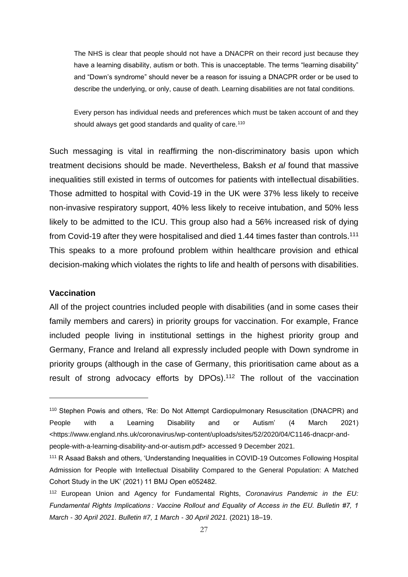The NHS is clear that people should not have a DNACPR on their record just because they have a learning disability, autism or both. This is unacceptable. The terms "learning disability" and "Down's syndrome" should never be a reason for issuing a DNACPR order or be used to describe the underlying, or only, cause of death. Learning disabilities are not fatal conditions.

Every person has individual needs and preferences which must be taken account of and they should always get good standards and quality of care.<sup>110</sup>

Such messaging is vital in reaffirming the non-discriminatory basis upon which treatment decisions should be made. Nevertheless, Baksh *et al* found that massive inequalities still existed in terms of outcomes for patients with intellectual disabilities. Those admitted to hospital with Covid-19 in the UK were 37% less likely to receive non-invasive respiratory support, 40% less likely to receive intubation, and 50% less likely to be admitted to the ICU. This group also had a 56% increased risk of dying from Covid-19 after they were hospitalised and died 1.44 times faster than controls.<sup>111</sup> This speaks to a more profound problem within healthcare provision and ethical decision-making which violates the rights to life and health of persons with disabilities.

#### **Vaccination**

All of the project countries included people with disabilities (and in some cases their family members and carers) in priority groups for vaccination. For example, France included people living in institutional settings in the highest priority group and Germany, France and Ireland all expressly included people with Down syndrome in priority groups (although in the case of Germany, this prioritisation came about as a result of strong advocacy efforts by DPOs).<sup>112</sup> The rollout of the vaccination

<sup>110</sup> Stephen Powis and others, 'Re: Do Not Attempt Cardiopulmonary Resuscitation (DNACPR) and People with a Learning Disability and or Autism' (4 March 2021) <https://www.england.nhs.uk/coronavirus/wp-content/uploads/sites/52/2020/04/C1146-dnacpr-andpeople-with-a-learning-disability-and-or-autism.pdf> accessed 9 December 2021.

<sup>111</sup> R Asaad Baksh and others, 'Understanding Inequalities in COVID-19 Outcomes Following Hospital Admission for People with Intellectual Disability Compared to the General Population: A Matched Cohort Study in the UK' (2021) 11 BMJ Open e052482.

<sup>112</sup> European Union and Agency for Fundamental Rights, *Coronavirus Pandemic in the EU: Fundamental Rights Implications : Vaccine Rollout and Equality of Access in the EU. Bulletin #7, 1 March - 30 April 2021. Bulletin #7, 1 March - 30 April 2021.* (2021) 18–19.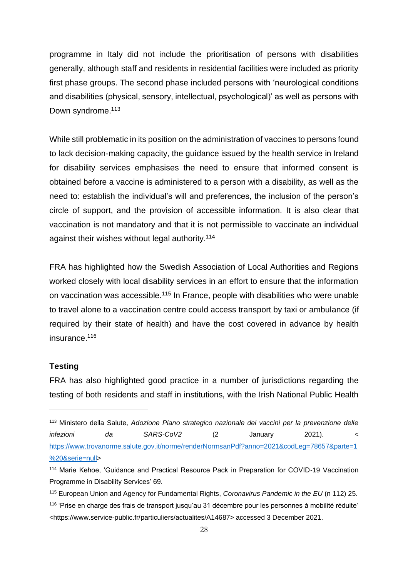programme in Italy did not include the prioritisation of persons with disabilities generally, although staff and residents in residential facilities were included as priority first phase groups. The second phase included persons with 'neurological conditions and disabilities (physical, sensory, intellectual, psychological)' as well as persons with Down syndrome.<sup>113</sup>

While still problematic in its position on the administration of vaccines to persons found to lack decision-making capacity, the guidance issued by the health service in Ireland for disability services emphasises the need to ensure that informed consent is obtained before a vaccine is administered to a person with a disability, as well as the need to: establish the individual's will and preferences, the inclusion of the person's circle of support, and the provision of accessible information. It is also clear that vaccination is not mandatory and that it is not permissible to vaccinate an individual against their wishes without legal authority.<sup>114</sup>

FRA has highlighted how the Swedish Association of Local Authorities and Regions worked closely with local disability services in an effort to ensure that the information on vaccination was accessible.<sup>115</sup> In France, people with disabilities who were unable to travel alone to a vaccination centre could access transport by taxi or ambulance (if required by their state of health) and have the cost covered in advance by health insurance.<sup>116</sup>

#### **Testing**

FRA has also highlighted good practice in a number of jurisdictions regarding the testing of both residents and staff in institutions, with the Irish National Public Health

<sup>113</sup> Ministero della Salute, *Adozione Piano strategico nazionale dei vaccini per la prevenzione delle infezioni da SARS-CoV2* (2 January 2021). < [https://www.trovanorme.salute.gov.it/norme/renderNormsanPdf?anno=2021&codLeg=78657&parte=1](https://www.trovanorme.salute.gov.it/norme/renderNormsanPdf?anno=2021&codLeg=78657&parte=1%20&serie=null) [%20&serie=null>](https://www.trovanorme.salute.gov.it/norme/renderNormsanPdf?anno=2021&codLeg=78657&parte=1%20&serie=null)

<sup>114</sup> Marie Kehoe, 'Guidance and Practical Resource Pack in Preparation for COVID-19 Vaccination Programme in Disability Services' 69.

<sup>115</sup> European Union and Agency for Fundamental Rights, *Coronavirus Pandemic in the EU* (n 112) 25. <sup>116</sup> 'Prise en charge des frais de transport jusqu'au 31 décembre pour les personnes à mobilité réduite' <https://www.service-public.fr/particuliers/actualites/A14687> accessed 3 December 2021.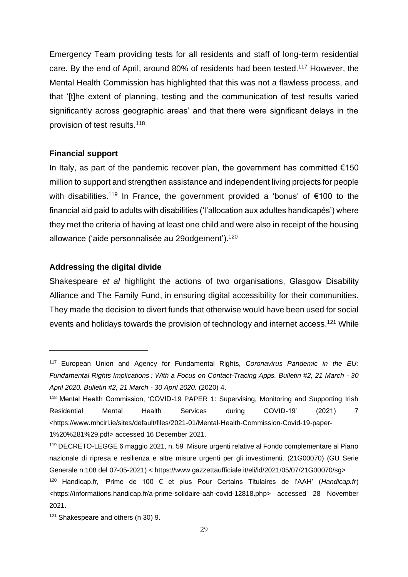Emergency Team providing tests for all residents and staff of long-term residential care. By the end of April, around 80% of residents had been tested.<sup>117</sup> However, the Mental Health Commission has highlighted that this was not a flawless process, and that '[t]he extent of planning, testing and the communication of test results varied significantly across geographic areas' and that there were significant delays in the provision of test results.<sup>118</sup>

#### **Financial support**

In Italy, as part of the pandemic recover plan, the government has committed  $€150$ million to support and strengthen assistance and independent living projects for people with disabilities.<sup>119</sup> In France, the government provided a 'bonus' of €100 to the financial aid paid to adults with disabilities ('l'allocation aux adultes handicapés') where they met the criteria of having at least one child and were also in receipt of the housing allowance ('aide personnalisée au 29odgement').<sup>120</sup>

#### **Addressing the digital divide**

Shakespeare *et al* highlight the actions of two organisations, Glasgow Disability Alliance and The Family Fund, in ensuring digital accessibility for their communities. They made the decision to divert funds that otherwise would have been used for social events and holidays towards the provision of technology and internet access.<sup>121</sup> While

<sup>117</sup> European Union and Agency for Fundamental Rights, *Coronavirus Pandemic in the EU: Fundamental Rights Implications : With a Focus on Contact-Tracing Apps. Bulletin #2, 21 March - 30 April 2020. Bulletin #2, 21 March - 30 April 2020.* (2020) 4.

<sup>118</sup> Mental Health Commission, 'COVID-19 PAPER 1: Supervising, Monitoring and Supporting Irish Residential Mental Health Services during COVID-19' (2021) 7 <https://www.mhcirl.ie/sites/default/files/2021-01/Mental-Health-Commission-Covid-19-paper-1%20%281%29.pdf> accessed 16 December 2021.

<sup>119</sup> DECRETO-LEGGE 6 maggio 2021, n. 59 Misure urgenti relative al Fondo complementare al Piano nazionale di ripresa e resilienza e altre misure urgenti per gli investimenti. (21G00070) (GU Serie Generale n.108 del 07-05-2021) < https://www.gazzettaufficiale.it/eli/id/2021/05/07/21G00070/sg>

<sup>120</sup> Handicap.fr, 'Prime de 100 € et plus Pour Certains Titulaires de l'AAH' (*Handicap.fr*) <https://informations.handicap.fr/a-prime-solidaire-aah-covid-12818.php> accessed 28 November 2021.

<sup>&</sup>lt;sup>121</sup> Shakespeare and others (n 30) 9.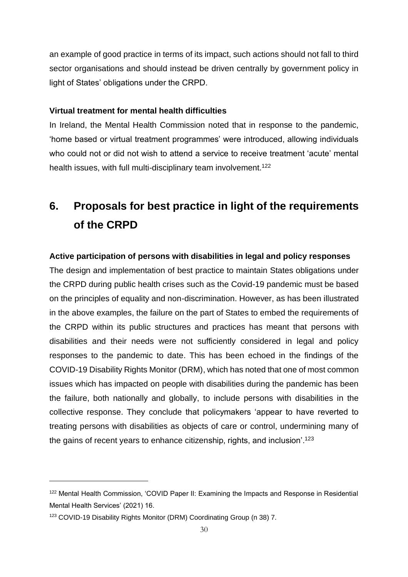an example of good practice in terms of its impact, such actions should not fall to third sector organisations and should instead be driven centrally by government policy in light of States' obligations under the CRPD.

#### **Virtual treatment for mental health difficulties**

In Ireland, the Mental Health Commission noted that in response to the pandemic, 'home based or virtual treatment programmes' were introduced, allowing individuals who could not or did not wish to attend a service to receive treatment 'acute' mental health issues, with full multi-disciplinary team involvement.<sup>122</sup>

# **6. Proposals for best practice in light of the requirements of the CRPD**

#### **Active participation of persons with disabilities in legal and policy responses**

The design and implementation of best practice to maintain States obligations under the CRPD during public health crises such as the Covid-19 pandemic must be based on the principles of equality and non-discrimination. However, as has been illustrated in the above examples, the failure on the part of States to embed the requirements of the CRPD within its public structures and practices has meant that persons with disabilities and their needs were not sufficiently considered in legal and policy responses to the pandemic to date. This has been echoed in the findings of the COVID-19 Disability Rights Monitor (DRM), which has noted that one of most common issues which has impacted on people with disabilities during the pandemic has been the failure, both nationally and globally, to include persons with disabilities in the collective response. They conclude that policymakers 'appear to have reverted to treating persons with disabilities as objects of care or control, undermining many of the gains of recent years to enhance citizenship, rights, and inclusion'.<sup>123</sup>

<sup>122</sup> Mental Health Commission, 'COVID Paper II: Examining the Impacts and Response in Residential Mental Health Services' (2021) 16.

<sup>123</sup> COVID-19 Disability Rights Monitor (DRM) Coordinating Group (n 38) 7.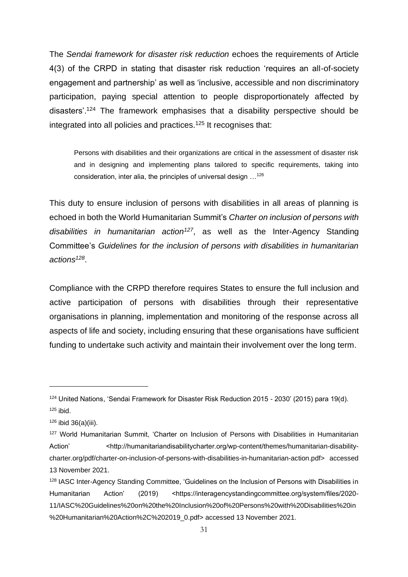The *Sendai framework for disaster risk reduction* echoes the requirements of Article 4(3) of the CRPD in stating that disaster risk reduction 'requires an all-of-society engagement and partnership' as well as 'inclusive, accessible and non discriminatory participation, paying special attention to people disproportionately affected by disasters'.<sup>124</sup> The framework emphasises that a disability perspective should be integrated into all policies and practices.<sup>125</sup> It recognises that:

Persons with disabilities and their organizations are critical in the assessment of disaster risk and in designing and implementing plans tailored to specific requirements, taking into consideration, inter alia, the principles of universal design …<sup>126</sup>

This duty to ensure inclusion of persons with disabilities in all areas of planning is echoed in both the World Humanitarian Summit's *Charter on inclusion of persons with disabilities in humanitarian action<sup>127</sup>*, as well as the Inter-Agency Standing Committee's *Guidelines for the inclusion of persons with disabilities in humanitarian actions<sup>128</sup>* .

Compliance with the CRPD therefore requires States to ensure the full inclusion and active participation of persons with disabilities through their representative organisations in planning, implementation and monitoring of the response across all aspects of life and society, including ensuring that these organisations have sufficient funding to undertake such activity and maintain their involvement over the long term.

<sup>124</sup> United Nations, 'Sendai Framework for Disaster Risk Reduction 2015 - 2030' (2015) para 19(d). 125 ibid.

 $126$  ibid 36(a)(iii).

<sup>127</sup> World Humanitarian Summit, 'Charter on Inclusion of Persons with Disabilities in Humanitarian Action' <http://humanitariandisabilitycharter.org/wp-content/themes/humanitarian-disabilitycharter.org/pdf/charter-on-inclusion-of-persons-with-disabilities-in-humanitarian-action.pdf> accessed 13 November 2021.

<sup>&</sup>lt;sup>128</sup> IASC Inter-Agency Standing Committee, 'Guidelines on the Inclusion of Persons with Disabilities in Humanitarian Action' (2019) <https://interagencystandingcommittee.org/system/files/2020-11/IASC%20Guidelines%20on%20the%20Inclusion%20of%20Persons%20with%20Disabilities%20in %20Humanitarian%20Action%2C%202019\_0.pdf> accessed 13 November 2021.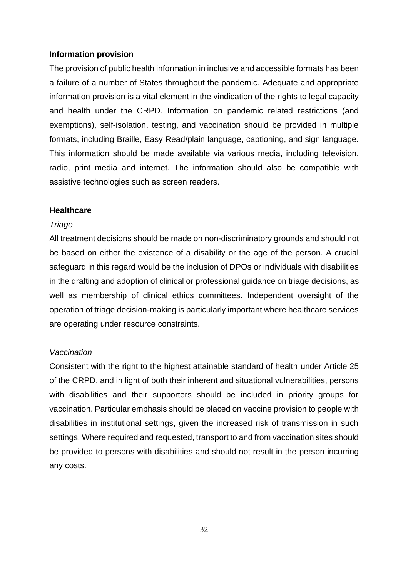#### **Information provision**

The provision of public health information in inclusive and accessible formats has been a failure of a number of States throughout the pandemic. Adequate and appropriate information provision is a vital element in the vindication of the rights to legal capacity and health under the CRPD. Information on pandemic related restrictions (and exemptions), self-isolation, testing, and vaccination should be provided in multiple formats, including Braille, Easy Read/plain language, captioning, and sign language. This information should be made available via various media, including television, radio, print media and internet. The information should also be compatible with assistive technologies such as screen readers.

#### **Healthcare**

#### *Triage*

All treatment decisions should be made on non-discriminatory grounds and should not be based on either the existence of a disability or the age of the person. A crucial safeguard in this regard would be the inclusion of DPOs or individuals with disabilities in the drafting and adoption of clinical or professional guidance on triage decisions, as well as membership of clinical ethics committees. Independent oversight of the operation of triage decision-making is particularly important where healthcare services are operating under resource constraints.

#### *Vaccination*

Consistent with the right to the highest attainable standard of health under Article 25 of the CRPD, and in light of both their inherent and situational vulnerabilities, persons with disabilities and their supporters should be included in priority groups for vaccination. Particular emphasis should be placed on vaccine provision to people with disabilities in institutional settings, given the increased risk of transmission in such settings. Where required and requested, transport to and from vaccination sites should be provided to persons with disabilities and should not result in the person incurring any costs.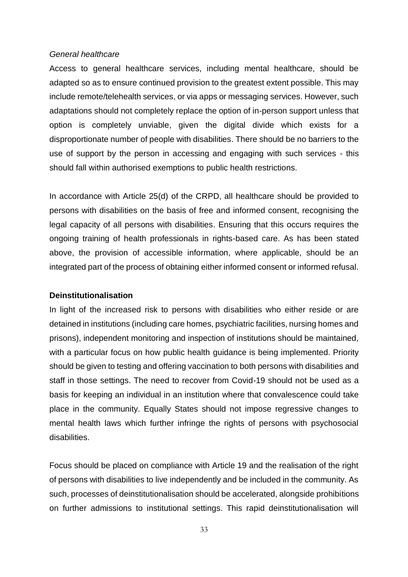#### *General healthcare*

Access to general healthcare services, including mental healthcare, should be adapted so as to ensure continued provision to the greatest extent possible. This may include remote/telehealth services, or via apps or messaging services. However, such adaptations should not completely replace the option of in-person support unless that option is completely unviable, given the digital divide which exists for a disproportionate number of people with disabilities. There should be no barriers to the use of support by the person in accessing and engaging with such services - this should fall within authorised exemptions to public health restrictions.

In accordance with Article 25(d) of the CRPD, all healthcare should be provided to persons with disabilities on the basis of free and informed consent, recognising the legal capacity of all persons with disabilities. Ensuring that this occurs requires the ongoing training of health professionals in rights-based care. As has been stated above, the provision of accessible information, where applicable, should be an integrated part of the process of obtaining either informed consent or informed refusal.

#### **Deinstitutionalisation**

In light of the increased risk to persons with disabilities who either reside or are detained in institutions (including care homes, psychiatric facilities, nursing homes and prisons), independent monitoring and inspection of institutions should be maintained, with a particular focus on how public health guidance is being implemented. Priority should be given to testing and offering vaccination to both persons with disabilities and staff in those settings. The need to recover from Covid-19 should not be used as a basis for keeping an individual in an institution where that convalescence could take place in the community. Equally States should not impose regressive changes to mental health laws which further infringe the rights of persons with psychosocial disabilities.

Focus should be placed on compliance with Article 19 and the realisation of the right of persons with disabilities to live independently and be included in the community. As such, processes of deinstitutionalisation should be accelerated, alongside prohibitions on further admissions to institutional settings. This rapid deinstitutionalisation will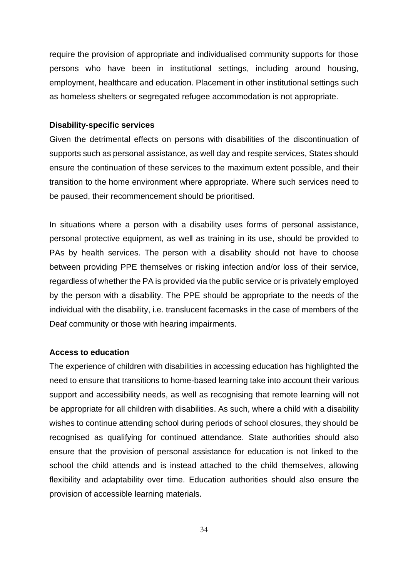require the provision of appropriate and individualised community supports for those persons who have been in institutional settings, including around housing, employment, healthcare and education. Placement in other institutional settings such as homeless shelters or segregated refugee accommodation is not appropriate.

#### **Disability-specific services**

Given the detrimental effects on persons with disabilities of the discontinuation of supports such as personal assistance, as well day and respite services, States should ensure the continuation of these services to the maximum extent possible, and their transition to the home environment where appropriate. Where such services need to be paused, their recommencement should be prioritised.

In situations where a person with a disability uses forms of personal assistance, personal protective equipment, as well as training in its use, should be provided to PAs by health services. The person with a disability should not have to choose between providing PPE themselves or risking infection and/or loss of their service, regardless of whether the PA is provided via the public service or is privately employed by the person with a disability. The PPE should be appropriate to the needs of the individual with the disability, i.e. translucent facemasks in the case of members of the Deaf community or those with hearing impairments.

#### **Access to education**

The experience of children with disabilities in accessing education has highlighted the need to ensure that transitions to home-based learning take into account their various support and accessibility needs, as well as recognising that remote learning will not be appropriate for all children with disabilities. As such, where a child with a disability wishes to continue attending school during periods of school closures, they should be recognised as qualifying for continued attendance. State authorities should also ensure that the provision of personal assistance for education is not linked to the school the child attends and is instead attached to the child themselves, allowing flexibility and adaptability over time. Education authorities should also ensure the provision of accessible learning materials.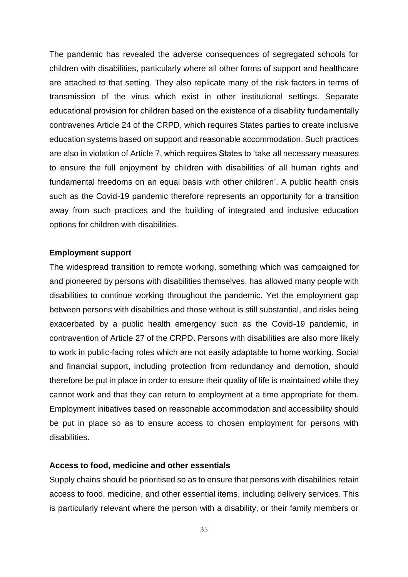The pandemic has revealed the adverse consequences of segregated schools for children with disabilities, particularly where all other forms of support and healthcare are attached to that setting. They also replicate many of the risk factors in terms of transmission of the virus which exist in other institutional settings. Separate educational provision for children based on the existence of a disability fundamentally contravenes Article 24 of the CRPD, which requires States parties to create inclusive education systems based on support and reasonable accommodation. Such practices are also in violation of Article 7, which requires States to 'take all necessary measures to ensure the full enjoyment by children with disabilities of all human rights and fundamental freedoms on an equal basis with other children'. A public health crisis such as the Covid-19 pandemic therefore represents an opportunity for a transition away from such practices and the building of integrated and inclusive education options for children with disabilities.

#### **Employment support**

The widespread transition to remote working, something which was campaigned for and pioneered by persons with disabilities themselves, has allowed many people with disabilities to continue working throughout the pandemic. Yet the employment gap between persons with disabilities and those without is still substantial, and risks being exacerbated by a public health emergency such as the Covid-19 pandemic, in contravention of Article 27 of the CRPD. Persons with disabilities are also more likely to work in public-facing roles which are not easily adaptable to home working. Social and financial support, including protection from redundancy and demotion, should therefore be put in place in order to ensure their quality of life is maintained while they cannot work and that they can return to employment at a time appropriate for them. Employment initiatives based on reasonable accommodation and accessibility should be put in place so as to ensure access to chosen employment for persons with disabilities.

#### **Access to food, medicine and other essentials**

Supply chains should be prioritised so as to ensure that persons with disabilities retain access to food, medicine, and other essential items, including delivery services. This is particularly relevant where the person with a disability, or their family members or